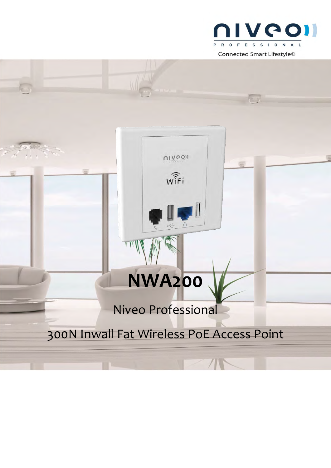

# 300N Inwall Fat Wireless PoE Access Point

Niveo Professional

**NWA200** 

UINGOIL

WIFi

 $\begin{array}{c} \hline \end{array}$ 

//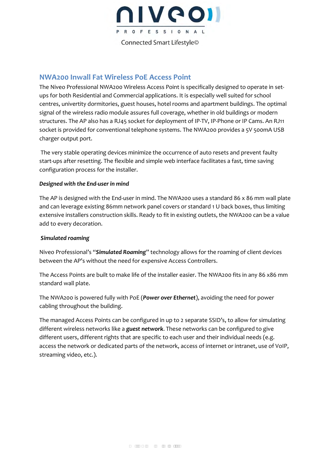

### **NWA200 Inwall Fat Wireless PoE Access Point**

The Niveo Professional NWA200 Wireless Access Point is specifically designed to operate in setups for both Residential and Commercial applications. It is especially well suited for school centres, univertity dormitories, guest houses, hotel rooms and apartment buildings. The optimal signal of the wireless radio module assures full coverage, whether in old buildings or modern structures. The AP also has a RJ45 socket for deployment of IP-TV, IP-Phone or IP Cams. An RJ11 socket is provided for conventional telephone systems. The NWA200 provides a 5V 500mA USB charger output port.

 The very stable operating devices minimize the occurrence of auto resets and prevent faulty start-ups after resetting. The flexible and simple web interface facilitates a fast, time saving configuration process for the installer.

#### *Designed with the End-user in mind*

The AP is designed with the End-user in mind. The NWA200 uses a standard 86 x 86 mm wall plate and can leverage existing 86mm network panel covers or standard 1 U back boxes, thus limiting extensive installers construction skills. Ready to fit in existing outlets, the NWA200 can be a value add to every decoration.

#### *Simulated roaming*

Niveo Professional's "*Simulated Roaming*" technology allows for the roaming of client devices between the AP's without the need for expensive Access Controllers.

The Access Points are built to make life of the installer easier. The NWA200 fits in any 86 x86 mm standard wall plate.

The NWA200 is powered fully with PoE (*Power over Ethernet*), avoiding the need for power cabling throughout the building.

The managed Access Points can be configured in up to 2 separate SSID's, to allow for simulating different wireless networks like a *guest network*. These networks can be configured to give different users, different rights that are specific to each user and their individual needs (e.g. access the network or dedicated parts of the network, access of internet or intranet, use of VoIP, streaming video, etc.).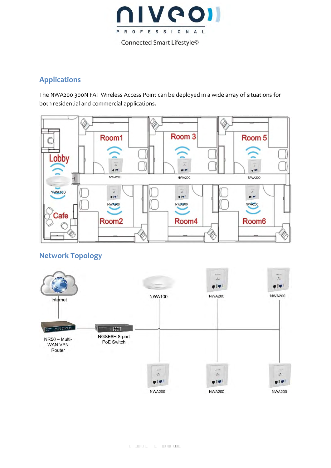

## **Applications**

The NWA200 300N FAT Wireless Access Point can be deployed in a wide array of situations for both residential and commercial applications.



## **Network Topology**

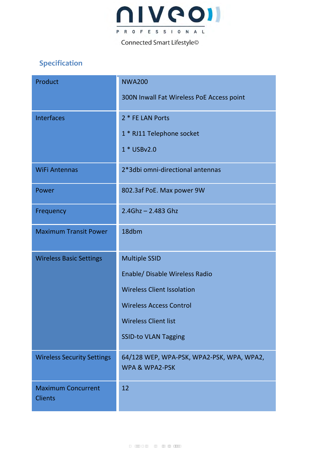

## Specification

| Product                                     | <b>NWA200</b>                                                          |
|---------------------------------------------|------------------------------------------------------------------------|
|                                             | 300N Inwall Fat Wireless PoE Access point                              |
| <b>Interfaces</b>                           | 2 * FE LAN Ports                                                       |
|                                             | 1 * RJ11 Telephone socket                                              |
|                                             | 1 * USBv2.0                                                            |
| <b>WiFi Antennas</b>                        | 2*3dbi omni-directional antennas                                       |
| Power                                       | 802.3af PoE. Max power 9W                                              |
| Frequency                                   | $2.4$ Ghz - 2.483 Ghz                                                  |
| <b>Maximum Transit Power</b>                | 18dbm                                                                  |
| <b>Wireless Basic Settings</b>              | <b>Multiple SSID</b>                                                   |
|                                             | Enable/ Disable Wireless Radio                                         |
|                                             | <b>Wireless Client Issolation</b>                                      |
|                                             | <b>Wireless Access Control</b>                                         |
|                                             | <b>Wireless Client list</b>                                            |
|                                             | <b>SSID-to VLAN Tagging</b>                                            |
| <b>Wireless Security Settings</b>           | 64/128 WEP, WPA-PSK, WPA2-PSK, WPA, WPA2,<br><b>WPA &amp; WPA2-PSK</b> |
| <b>Maximum Concurrent</b><br><b>Clients</b> | 12                                                                     |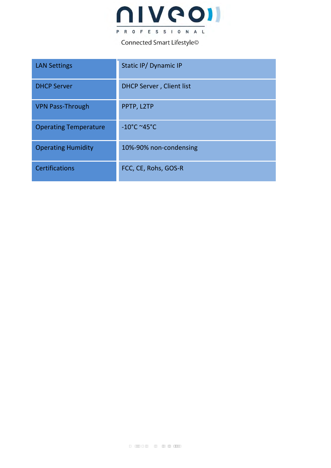

Connected Smart Lifestyle<sup>©</sup>

| <b>LAN Settings</b>          | Static IP/ Dynamic IP           |
|------------------------------|---------------------------------|
| <b>DHCP Server</b>           | <b>DHCP Server, Client list</b> |
| <b>VPN Pass-Through</b>      | PPTP, L2TP                      |
| <b>Operating Temperature</b> | $-10^{\circ}$ C ~45°C           |
| <b>Operating Humidity</b>    | 10%-90% non-condensing          |
| <b>Certifications</b>        | FCC, CE, Rohs, GOS-R            |